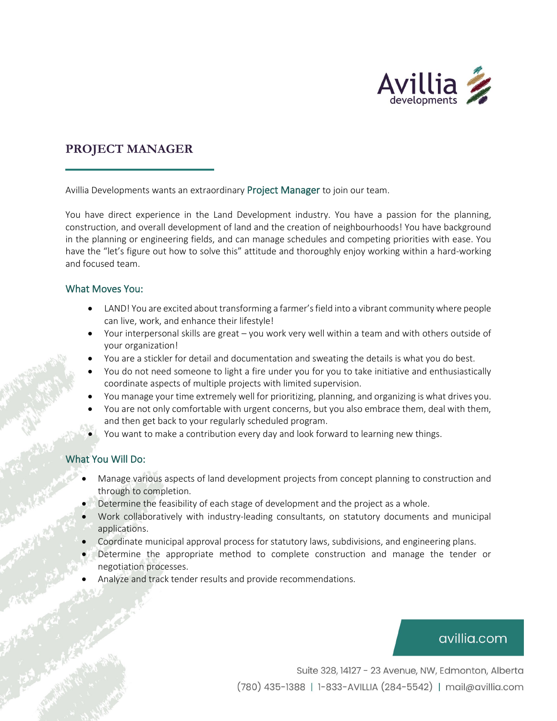

## **PROJECT MANAGER**

Avillia Developments wants an extraordinary Project Manager to join our team.

You have direct experience in the Land Development industry. You have a passion for the planning, construction, and overall development of land and the creation of neighbourhoods! You have background in the planning or engineering fields, and can manage schedules and competing priorities with ease. You have the "let's figure out how to solve this" attitude and thoroughly enjoy working within a hard-working and focused team.

#### What Moves You:

- LAND! You are excited about transforming a farmer's field into a vibrant community where people can live, work, and enhance their lifestyle!
- Your interpersonal skills are great you work very well within a team and with others outside of your organization!
- You are a stickler for detail and documentation and sweating the details is what you do best.
- You do not need someone to light a fire under you for you to take initiative and enthusiastically coordinate aspects of multiple projects with limited supervision.
- You manage your time extremely well for prioritizing, planning, and organizing is what drives you.
- You are not only comfortable with urgent concerns, but you also embrace them, deal with them, and then get back to your regularly scheduled program.
- You want to make a contribution every day and look forward to learning new things.

### What You Will Do:

- Manage various aspects of land development projects from concept planning to construction and through to completion.
- Determine the feasibility of each stage of development and the project as a whole.
- Work collaboratively with industry-leading consultants, on statutory documents and municipal applications.
- Coordinate municipal approval process for statutory laws, subdivisions, and engineering plans.
- Determine the appropriate method to complete construction and manage the tender or negotiation processes.
- Analyze and track tender results and provide recommendations.

# avillia.com

Suite 328, 14127 - 23 Avenue, NW, Edmonton, Alberta (780) 435-1388 | 1-833-AVILLIA (284-5542) | mail@avillia.com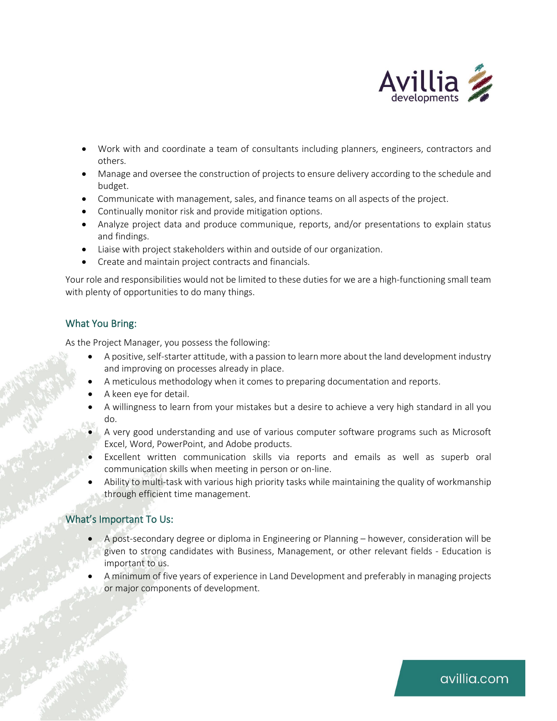

- Work with and coordinate a team of consultants including planners, engineers, contractors and others.
- Manage and oversee the construction of projects to ensure delivery according to the schedule and budget.
- Communicate with management, sales, and finance teams on all aspects of the project.
- Continually monitor risk and provide mitigation options.
- Analyze project data and produce communique, reports, and/or presentations to explain status and findings.
- Liaise with project stakeholders within and outside of our organization.
- Create and maintain project contracts and financials.

Your role and responsibilities would not be limited to these duties for we are a high-functioning small team with plenty of opportunities to do many things.

## What You Bring:

As the Project Manager, you possess the following:

- A positive, self-starter attitude, with a passion to learn more about the land development industry and improving on processes already in place.
- A meticulous methodology when it comes to preparing documentation and reports.
- A keen eye for detail.
- A willingness to learn from your mistakes but a desire to achieve a very high standard in all you do.
- A very good understanding and use of various computer software programs such as Microsoft Excel, Word, PowerPoint, and Adobe products.
- Excellent written communication skills via reports and emails as well as superb oral communication skills when meeting in person or on-line.
- Ability to multi-task with various high priority tasks while maintaining the quality of workmanship through efficient time management.

## What's Important To Us:

- A post-secondary degree or diploma in Engineering or Planning however, consideration will be given to strong candidates with Business, Management, or other relevant fields - Education is important to us.
- A minimum of five years of experience in Land Development and preferably in managing projects or major components of development.